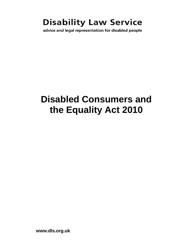# **Disability Law Service**

advice and legal representation for disabled people

# **Disabled Consumers and the Equality Act 2010**

**www.dls.org.uk**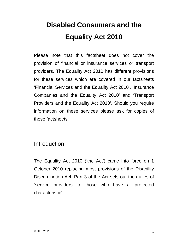# **Disabled Consumers and the Equality Act 2010**

Please note that this factsheet does not cover the provision of financial or insurance services or transport providers. The Equality Act 2010 has different provisions for these services which are covered in our factsheets 'Financial Services and the Equality Act 2010', 'Insurance Companies and the Equality Act 2010' and 'Transport Providers and the Equality Act 2010'. Should you require information on these services please ask for copies of these factsheets.

## **Introduction**

The Equality Act 2010 ('the Act') came into force on 1 October 2010 replacing most provisions of the Disability Discrimination Act. Part 3 of the Act sets out the duties of 'service providers' to those who have a 'protected characteristic'.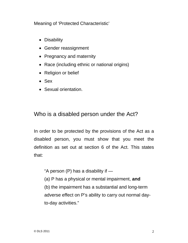Meaning of 'Protected Characteristic'

- Disability
- Gender reassignment
- Pregnancy and maternity
- Race (including ethnic or national origins)
- Religion or belief
- Sex
- Sexual orientation.

## Who is a disabled person under the Act?

In order to be protected by the provisions of the Act as a disabled person, you must show that you meet the definition as set out at section 6 of the Act. This states that:

"A person  $(P)$  has a disability if  $-$ 

(a) P has a physical or mental impairment, **and**

(b) the impairment has a substantial and long-term adverse effect on P's ability to carry out normal dayto-day activities."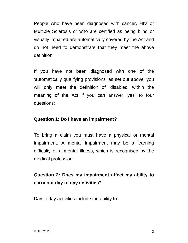People who have been diagnosed with cancer, HIV or Multiple Sclerosis or who are certified as being blind or visually impaired are automatically covered by the Act and do not need to demonstrate that they meet the above definition.

If you have not been diagnosed with one of the 'automatically qualifying provisions' as set out above, you will only meet the definition of 'disabled' within the meaning of the Act if you can answer 'yes' to four questions:

#### **Question 1: Do I have an impairment?**

To bring a claim you must have a physical or mental impairment. A mental impairment may be a learning difficulty or a mental illness, which is recognised by the medical profession.

## **Question 2: Does my impairment affect my ability to carry out day to day activities?**

Day to day activities include the ability to: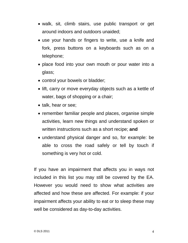- walk, sit, climb stairs, use public transport or get around indoors and outdoors unaided;
- use your hands or fingers to write, use a knife and fork, press buttons on a keyboards such as on a telephone;
- place food into your own mouth or pour water into a glass;
- control your bowels or bladder;
- lift, carry or move everyday objects such as a kettle of water, bags of shopping or a chair;
- talk, hear or see;
- remember familiar people and places, organise simple activities, learn new things and understand spoken or written instructions such as a short recipe; **and**
- understand physical danger and so, for example: be able to cross the road safely or tell by touch if something is very hot or cold.

If you have an impairment that affects you in ways not included in this list you may still be covered by the EA. However you would need to show what activities are affected and how these are affected. For example: if your impairment affects your ability to eat or to sleep these may well be considered as day-to-day activities.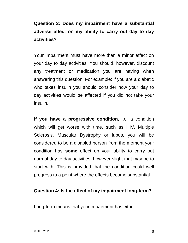## **Question 3: Does my impairment have a substantial adverse effect on my ability to carry out day to day activities?**

Your impairment must have more than a minor effect on your day to day activities. You should, however, discount any treatment or medication you are having when answering this question. For example: if you are a diabetic who takes insulin you should consider how your day to day activities would be affected if you did not take your insulin.

**If you have a progressive condition**, i.e. a condition which will get worse with time, such as HIV, Multiple Sclerosis, Muscular Dystrophy or lupus, you will be considered to be a disabled person from the moment your condition has **some** effect on your ability to carry out normal day to day activities, however slight that may be to start with. This is provided that the condition could well progress to a point where the effects become substantial.

#### **Question 4: Is the effect of my impairment long-term?**

Long-term means that your impairment has either: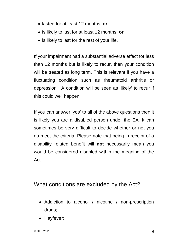- lasted for at least 12 months; **or**
- is likely to last for at least 12 months; **or**
- is likely to last for the rest of your life.

If your impairment had a substantial adverse effect for less than 12 months but is likely to recur, then your condition will be treated as long term. This is relevant if you have a fluctuating condition such as rheumatoid arthritis or depression. A condition will be seen as 'likely' to recur if this could well happen.

If you can answer 'yes' to all of the above questions then it is likely you are a disabled person under the EA. It can sometimes be very difficult to decide whether or not you do meet the criteria. Please note that being in receipt of a disability related benefit will **not** necessarily mean you would be considered disabled within the meaning of the Act.

## What conditions are excluded by the Act?

- Addiction to alcohol / nicotine / non-prescription drugs;
- Hayfever;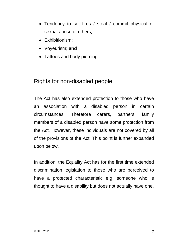- Tendency to set fires / steal / commit physical or sexual abuse of others;
- Exhibitionism:
- Voyeurism; **and**
- Tattoos and body piercing.

## Rights for non-disabled people

The Act has also extended protection to those who have an association with a disabled person in certain circumstances. Therefore carers, partners, family members of a disabled person have some protection from the Act. However, these individuals are not covered by all of the provisions of the Act. This point is further expanded upon below.

In addition, the Equality Act has for the first time extended discrimination legislation to those who are perceived to have a protected characteristic e.g. someone who is thought to have a disability but does not actually have one.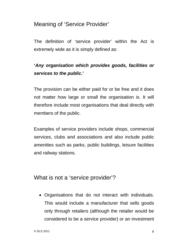## Meaning of 'Service Provider'

The definition of 'service provider' within the Act is extremely wide as it is simply defined as:

## **'***Any organisation which provides goods, facilities or services to the public***.'**

The provision can be either paid for or be free and it does not matter how large or small the organisation is. It will therefore include most organisations that deal directly with members of the public.

Examples of service providers include shops, commercial services, clubs and associations and also include public amenities such as parks, public buildings, leisure facilities and railway stations.

## What is not a 'service provider'?

• Organisations that do not interact with individuals. This would include a manufacturer that sells goods only through retailers (although the retailer would be considered to be a service provider) or an investment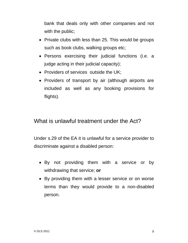bank that deals only with other companies and not with the public;

- Private clubs with less than 25. This would be groups such as book clubs, walking groups etc;
- Persons exercising their judicial functions (i.e. a judge acting in their judicial capacity);
- Providers of services outside the UK;
- Providers of transport by air (although airports are included as well as any booking provisions for flights).

## What is unlawful treatment under the Act?

Under s.29 of the EA it is unlawful for a service provider to discriminate against a disabled person:

- By not providing them with a service or by withdrawing that service; **or**
- By providing them with a lesser service or on worse terms than they would provide to a non-disabled person.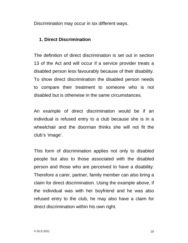Discrimination may occur in six different ways.

#### **1. Direct Discrimination**

The definition of direct discrimination is set out in section 13 of the Act and will occur if a service provider treats a disabled person less favourably because of their disability. To show direct discrimination the disabled person needs to compare their treatment to someone who is not disabled but is otherwise in the same circumstances.

An example of direct discrimination would be if an individual is refused entry to a club because she is in a wheelchair and the doorman thinks she will not fit the club's 'image'.

This form of discrimination applies not only to disabled people but also to those associated with the disabled person and those who are perceived to have a disability. Therefore a carer, partner, family member can also bring a claim for direct discrimination. Using the example above, if the individual was with her boyfriend and he was also refused entry to the club, he may also have a claim for direct discrimination within his own right.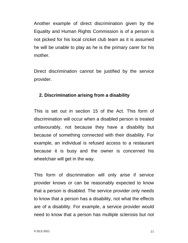Another example of direct discrimination given by the Equality and Human Rights Commission is of a person is not picked for his local cricket club team as it is assumed he will be unable to play as he is the primary carer for his mother.

Direct discrimination cannot be justified by the service provider.

#### **2. Discrimination arising from a disability**

This is set out in section 15 of the Act. This form of discrimination will occur when a disabled person is treated unfavourably, not because they have a disability but because of something connected with their disability. For example, an individual is refused access to a restaurant because it is busy and the owner is concerned his wheelchair will get in the way.

This form of discrimination will only arise if service provider knows or can be reasonably expected to know that a person is disabled. The service provider only needs to know that a person has a disability, not what the effects are of a disability. For example, a service provider would need to know that a person has multiple sclerosis but not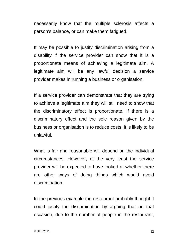necessarily know that the multiple sclerosis affects a person's balance, or can make them fatigued.

It may be possible to justify discrimination arising from a disability if the service provider can show that it is a proportionate means of achieving a legitimate aim. A legitimate aim will be any lawful decision a service provider makes in running a business or organisation.

If a service provider can demonstrate that they are trying to achieve a legitimate aim they will still need to show that the discriminatory effect is proportionate. If there is a discriminatory effect and the sole reason given by the business or organisation is to reduce costs, it is likely to be unlawful.

What is fair and reasonable will depend on the individual circumstances. However, at the very least the service provider will be expected to have looked at whether there are other ways of doing things which would avoid discrimination.

In the previous example the restaurant probably thought it could justify the discrimination by arguing that on that occasion, due to the number of people in the restaurant,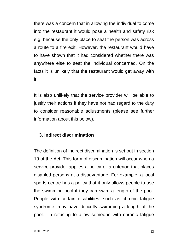there was a concern that in allowing the individual to come into the restaurant it would pose a health and safety risk e.g. because the only place to seat the person was across a route to a fire exit. However, the restaurant would have to have shown that it had considered whether there was anywhere else to seat the individual concerned. On the facts it is unlikely that the restaurant would get away with it.

It is also unlikely that the service provider will be able to justify their actions if they have not had regard to the duty to consider reasonable adjustments (please see further information about this below).

#### **3. Indirect discrimination**

The definition of indirect discrimination is set out in section 19 of the Act. This form of discrimination will occur when a service provider applies a policy or a criterion that places disabled persons at a disadvantage. For example: a local sports centre has a policy that it only allows people to use the swimming pool if they can swim a length of the pool. People with certain disabilities, such as chronic fatigue syndrome, may have difficulty swimming a length of the pool. In refusing to allow someone with chronic fatigue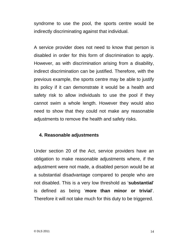syndrome to use the pool, the sports centre would be indirectly discriminating against that individual.

A service provider does not need to know that person is disabled in order for this form of discrimination to apply. However, as with discrimination arising from a disability, indirect discrimination can be justified. Therefore, with the previous example, the sports centre may be able to justify its policy if it can demonstrate it would be a health and safety risk to allow individuals to use the pool if they cannot swim a whole length. However they would also need to show that they could not make any reasonable adjustments to remove the health and safety risks.

#### **4. Reasonable adjustments**

Under section 20 of the Act, service providers have an obligation to make reasonable adjustments where, if the adjustment were not made, a disabled person would be at a substantial disadvantage compared to people who are not disabled. This is a very low threshold as '**substantial**' is defined as being '**more than minor or trivial**'. Therefore it will not take much for this duty to be triggered.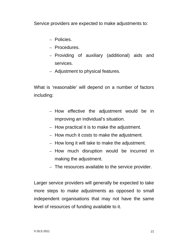Service providers are expected to make adjustments to:

- Policies.
- Procedures.
- Providing of auxiliary (additional) aids and services.
- Adjustment to physical features.

What is 'reasonable' will depend on a number of factors including:

- How effective the adjustment would be in improving an individual's situation.
- How practical it is to make the adjustment.
- How much it costs to make the adjustment.
- How long it will take to make the adjustment.
- How much disruption would be incurred in making the adjustment.
- The resources available to the service provider.

Larger service providers will generally be expected to take more steps to make adjustments as opposed to small independent organisations that may not have the same level of resources of funding available to it.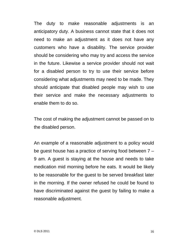The duty to make reasonable adjustments is an anticipatory duty. A business cannot state that it does not need to make an adjustment as it does not have any customers who have a disability. The service provider should be considering who may try and access the service in the future. Likewise a service provider should not wait for a disabled person to try to use their service before considering what adjustments may need to be made. They should anticipate that disabled people may wish to use their service and make the necessary adjustments to enable them to do so.

The cost of making the adjustment cannot be passed on to the disabled person.

An example of a reasonable adjustment to a policy would be guest house has a practice of serving food between 7 – 9 am. A guest is staying at the house and needs to take medication mid morning before he eats. It would be likely to be reasonable for the guest to be served breakfast later in the morning. If the owner refused he could be found to have discriminated against the guest by failing to make a reasonable adjustment.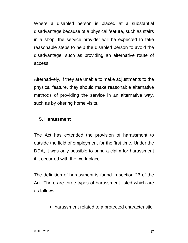Where a disabled person is placed at a substantial disadvantage because of a physical feature, such as stairs in a shop, the service provider will be expected to take reasonable steps to help the disabled person to avoid the disadvantage, such as providing an alternative route of access.

Alternatively, if they are unable to make adjustments to the physical feature, they should make reasonable alternative methods of providing the service in an alternative way, such as by offering home visits.

#### **5. Harassment**

The Act has extended the provision of harassment to outside the field of employment for the first time. Under the DDA, it was only possible to bring a claim for harassment if it occurred with the work place.

The definition of harassment is found in section 26 of the Act. There are three types of harassment listed which are as follows:

• harassment related to a protected characteristic;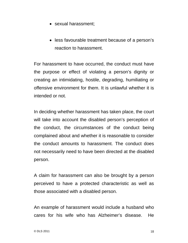- sexual harassment:
- less favourable treatment because of a person's reaction to harassment.

For harassment to have occurred, the conduct must have the purpose or effect of violating a person's dignity or creating an intimidating, hostile, degrading, humiliating or offensive environment for them. It is unlawful whether it is intended or not.

In deciding whether harassment has taken place, the court will take into account the disabled person's perception of the conduct, the circumstances of the conduct being complained about and whether it is reasonable to consider the conduct amounts to harassment. The conduct does not necessarily need to have been directed at the disabled person.

A claim for harassment can also be brought by a person perceived to have a protected characteristic as well as those associated with a disabled person.

An example of harassment would include a husband who cares for his wife who has Alzheimer's disease. He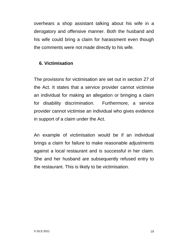overhears a shop assistant talking about his wife in a derogatory and offensive manner. Both the husband and his wife could bring a claim for harassment even though the comments were not made directly to his wife.

#### **6. Victimisation**

The provisions for victimisation are set out in section 27 of the Act. It states that a service provider cannot victimise an individual for making an allegation or bringing a claim for disability discrimination. Furthermore, a service provider cannot victimise an individual who gives evidence in support of a claim under the Act.

An example of victimisation would be if an individual brings a claim for failure to make reasonable adjustments against a local restaurant and is successful in her claim. She and her husband are subsequently refused entry to the restaurant. This is likely to be victimisation.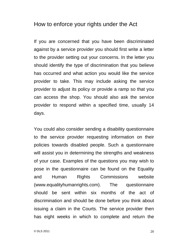## How to enforce your rights under the Act

If you are concerned that you have been discriminated against by a service provider you should first write a letter to the provider setting out your concerns. In the letter you should identify the type of discrimination that you believe has occurred and what action you would like the service provider to take. This may include asking the service provider to adjust its policy or provide a ramp so that you can access the shop. You should also ask the service provider to respond within a specified time, usually 14 days.

You could also consider sending a disability questionnaire to the service provider requesting information on their policies towards disabled people. Such a questionnaire will assist you in determining the strengths and weakness of your case. Examples of the questions you may wish to pose in the questionnaire can be found on the Equality and Human Rights Commissions website (www.equalityhumanrights.com). The questionnaire should be sent within six months of the act of discrimination and should be done before you think about issuing a claim in the Courts. The service provider then has eight weeks in which to complete and return the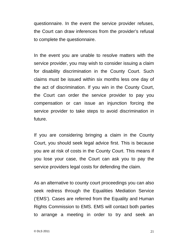questionnaire. In the event the service provider refuses, the Court can draw inferences from the provider's refusal to complete the questionnaire.

In the event you are unable to resolve matters with the service provider, you may wish to consider issuing a claim for disability discrimination in the County Court. Such claims must be issued within six months less one day of the act of discrimination. If you win in the County Court, the Court can order the service provider to pay you compensation or can issue an injunction forcing the service provider to take steps to avoid discrimination in future.

If you are considering bringing a claim in the County Court, you should seek legal advice first. This is because you are at risk of costs in the County Court. This means if you lose your case, the Court can ask you to pay the service providers legal costs for defending the claim.

As an alternative to county court proceedings you can also seek redress through the Equalities Mediation Service ('EMS'). Cases are referred from the Equality and Human Rights Commission to EMS. EMS will contact both parties to arrange a meeting in order to try and seek an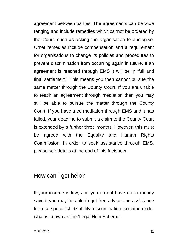agreement between parties. The agreements can be wide ranging and include remedies which cannot be ordered by the Court, such as asking the organisation to apologise. Other remedies include compensation and a requirement for organisations to change its policies and procedures to prevent discrimination from occurring again in future. If an agreement is reached through EMS it will be in 'full and final settlement'. This means you then cannot pursue the same matter through the County Court. If you are unable to reach an agreement through mediation then you may still be able to pursue the matter through the County Court. If you have tried mediation through EMS and it has failed, your deadline to submit a claim to the County Court is extended by a further three months. However, this must be agreed with the Equality and Human Rights Commission. In order to seek assistance through EMS, please see details at the end of this factsheet.

### How can I get help?

If your income is low, and you do not have much money saved, you may be able to get free advice and assistance from a specialist disability discrimination solicitor under what is known as the 'Legal Help Scheme'.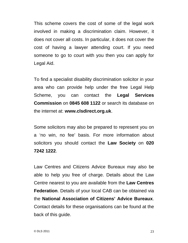This scheme covers the cost of some of the legal work involved in making a discrimination claim. However, it does not cover all costs. In particular, it does not cover the cost of having a lawyer attending court. If you need someone to go to court with you then you can apply for Legal Aid.

To find a specialist disability discrimination solicitor in your area who can provide help under the free Legal Help Scheme, you can contact the **Legal Services Commission** on **0845 608 1122** or search its database on the internet at: **www.clsdirect.org.uk**.

Some solicitors may also be prepared to represent you on a 'no win, no fee' basis. For more information about solicitors you should contact the **Law Society** on **020 7242 1222**.

Law Centres and Citizens Advice Bureaux may also be able to help you free of charge. Details about the Law Centre nearest to you are available from the **Law Centres Federation**. Details of your local CAB can be obtained via the **National Association of Citizens' Advice Bureaux**. Contact details for these organisations can be found at the back of this guide.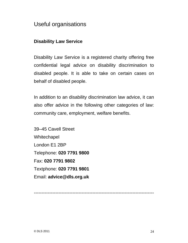## Useful organisations

### **Disability Law Service**

Disability Law Service is a registered charity offering free confidential legal advice on disability discrimination to disabled people. It is able to take on certain cases on behalf of disabled people.

In addition to an disability discrimination law advice, it can also offer advice in the following other categories of law: community care, employment, welfare benefits.

39–45 Cavell Street **Whitechapel** London E1 2BP Telephone: **020 7791 9800** Fax: **020 7791 9802** Textphone: **020 7791 9801** Email: **advice@dls.org.uk**

------------------------------------------------------------------------------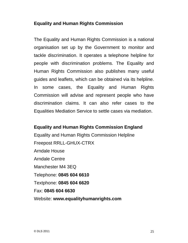#### **Equality and Human Rights Commission**

The Equality and Human Rights Commission is a national organisation set up by the Government to monitor and tackle discrimination. It operates a telephone helpline for people with discrimination problems. The Equality and Human Rights Commission also publishes many useful guides and leaflets, which can be obtained via its helpline. In some cases, the Equality and Human Rights Commission will advise and represent people who have discrimination claims. It can also refer cases to the Equalities Mediation Service to settle cases via mediation.

#### **Equality and Human Rights Commission England**

Equality and Human Rights Commission Helpline Freepost RRLL-GHUX-CTRX Arndale House Arndale Centre Manchester M4 3EQ Telephone: **0845 604 6610** Textphone: **0845 604 6620** Fax: **0845 604 6630** Website: **www.equalityhumanrights.com**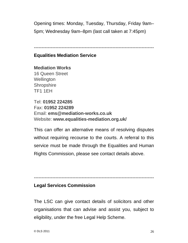Opening times: Monday, Tuesday, Thursday, Friday 9am– 5pm; Wednesday 9am–8pm (last call taken at 7:45pm)

------------------------------------------------------------------------------

#### **Equalities Mediation Service**

**Mediation Works**  16 Queen Street **Wellington Shropshire** TF1 1EH

Tel: **01952 224285**  Fax: **01952 224289** Email: **ems@mediation-works.co.uk**  Website: **www.equalities-mediation.org.uk/**

This can offer an alternative means of resolving disputes without requiring recourse to the courts. A referral to this service must be made through the Equalities and Human Rights Commission, please see contact details above.

------------------------------------------------------------------------------

### **Legal Services Commission**

The LSC can give contact details of solicitors and other organisations that can advise and assist you, subject to eligibility, under the free Legal Help Scheme.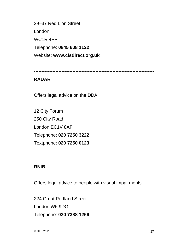29–37 Red Lion Street London WC1R 4PP Telephone: **0845 608 1122** Website: **www.clsdirect.org.uk** 

------------------------------------------------------------------------------

### **RADAR**

Offers legal advice on the DDA.

12 City Forum 250 City Road London EC1V 8AF Telephone: **020 7250 3222**  Textphone: **020 7250 0123** 

------------------------------------------------------------------------------

#### **RNIB**

Offers legal advice to people with visual impairments.

224 Great Portland Street London W6 9DG Telephone: **020 7388 1266**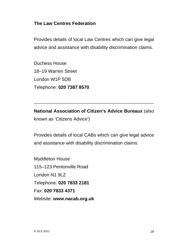#### **The Law Centres Federation**

Provides details of local Law Centres which can give legal advice and assistance with disability discrimination claims.

Duchess House 18–19 Warren Street London W1P 5DB Telephone: **020 7387 8570** 

------------------------------------------------------------------------------

**National Association of Citizen's Advice Bureaux** (also known as 'Citizens Advice')

Provides details of local CABs which can give legal advice and assistance with disability discrimination claims.

Myddleton House 115–123 Pentonville Road London N1 9LZ Telephone: **020 7833 2181**  Fax: **020 7833 4371**  Website: **www.nacab.org.uk**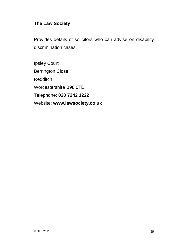### **The Law Society**

Provides details of solicitors who can advise on disability discrimination cases.

Ipsley Court Berrington Close Redditch Worcestershire B98 0TD Telephone: **020 7242 1222**  Website: **www.lawsociety.co.uk**